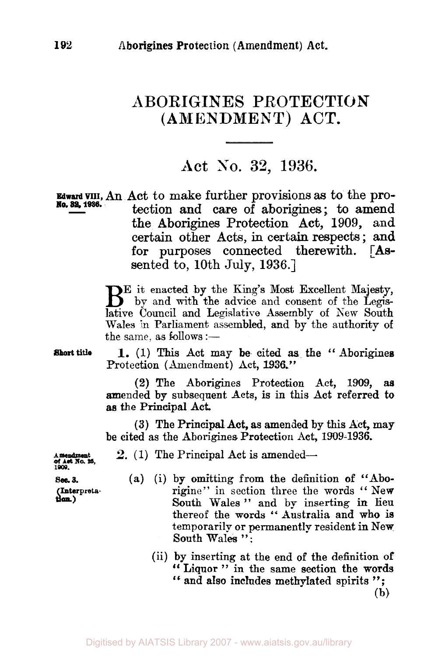## ABORIGINES **PROTECTION (AMENDMENT) ACT.**

## Act *SO.* **32, 1936.**

**Edward VIII, An** Act to make further provisions as to the protection and care of aborigines; to amend the Aborigines Protection **Act, 1909,** and certain other Acts, in certain respects; **and for** purposes connected therewith. **[As**sented to, 10th July, **1936.] No. 32, 1936.** 

> Be it enacted by the King's Most Excellent Majesty, by and with the advice and consent of the Legislative Council and Legislative Assembly of New South Wales in Parliament assembled, and by the authority of the same, as follows  $:$   $-$

Short title

1. (1) This Act may be cited **as** the " Aborigines Protection (Amendment) Act, **1936."** 

(2) The Aborigines Protection Act, **1909, as**  mended by subsequent Acts, is in this Act referred to **as** the Principal Act.

(3) The Principal Act, **as** amended by this Act, may be cited as the Aborigines Protection Act, 1909-1936.

**1 mendment**<br>**of Ast No. 25,**<br>1909.

- **2.** (1) The Principal Act is amended—
- **sec. 3.** (a) (i) by omitting from the definition of "Abo-**(Interpreta** in section three the words "New rigine" in section three the words "New **South** Wales " and by inserting in lieu thereof the words '' Australia and who is temporarily or permanently resident in New South Wales ":
	- (ii) by inserting at the end of the definition of by inserting at the end of the definition of<br>"Liquor" in the same section the words " Liquor " in the same section the words " and also includes methylated spirits";

(b)

**(Interpretation.)**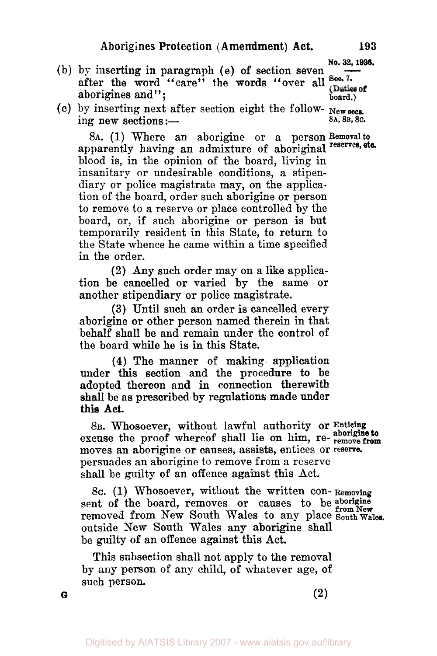**No. 32, 1986.** 

- (b) by inserting in paragraph (e) of section seven  $\overline{\phantom{a}}$  after the word "care" the words "over all  $\overline{\phantom{a}}$ aborigines and";  $\frac{\text{char}}{\text{bond}}$  aborigines and";
- (c) by inserting next after section eight the follow- $\frac{New\text{ sec.}}{8A, 8B, 8C}$ .

**8A.** (1) Where an aborigine or a person Removal *to*  apparently having an admixture of aboriginal reserves, etc. blood is, in the opinion of the board, living in insanitary or undesirable conditions, a stipendiary or police magistrate may, on the application of the board, order such aborigine or person to remove to a reserve or place controlled by the board, or, if such aborigine or person is but temporarily resident in this State, to return to the State whence he came within a time specified in the order.

**(2) Any** such order may on a like application be cancelled or varied by the same or another stipendiary or police magistrate.

**(3)** Until such an order is cancelled every aborigine or other person named therein in that behalf shall be and remain under the control of the board while he is in this State.

**(4)** The manner of making application under this section and the procedure to be adopted thereon **and** in connection therewith shall be as prescribed by regulations made under **this Act** 

8B. Whosoever, without lawful authority or **Enticing**  excuse the proof whereof shall lie on him, re- **remove from aborigine to**  moves an aborigine or causes, assists, entices or **reserve.**  persuades an aborigine to remove from **a** reserve shall be guilty **of** an offence against this Act.

**8c. (1)** Whosoever, without the written con- **Removing**  sent of the board, removes or causes to be aborigine removed from New South Wales to any place South Wales. outside New South Wales **any** aborigine shall be guilty of an offence against this Act.

This subsection shall not apply to the removal by any person of any child, of whatever age, **of**  such person.

**a (2)**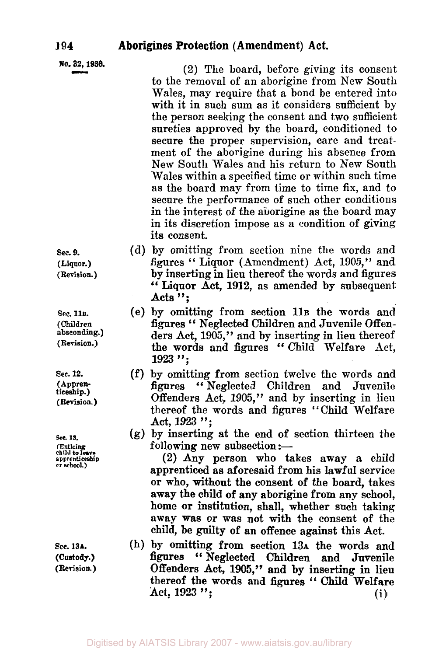|  |  | No. 32, 1936. |
|--|--|---------------|
|--|--|---------------|

(2) The board, before giving its consent to the removal of an aborigine from New South Wales, may require that a bond be entered into with it in such sum as it considers sufficient by the person seeking the consent and two sufficient sureties approved by the board, conditioned to secure the proper supervision, care and treatment of the aborigine during his absence from New South Wales and his return to New South Wales within a specified time or within such time as the board may from time to time fix, and to secure the performance of such other conditions in the interest of the aborigine as the board may in its discretion impose as a condition of giving its consent.

- (d) by omitting from section nine the words and figures " Liquor (Amendment) Act, 1905," and by inserting in lieu thereof the words and figures "Liquor Act, **1912,** as amended **by** subsequent Acts ";
- (e) by omitting from section **11B** the words and figures "Neglected Children and Juvenile Offenders Act, **1905,"** and by inserting in lieu thereof the words and figures " Child Welfare Act. **<sup>1923</sup>**";
- (f) by omitting from section twelve the words and figures '' Neglected Children and Juvenile Offenders Act, **1905,"** and by inserting in lieu thereof the words and figures "Child Welfare Act, **1923** ";
- **(g)** by inserting at the end of section thirteen the following new subsection : $-$

(2) **Any** person who takes away **a** child apprenticed as aforesaid from his lawful service or who, without the consent of the board, takes away the child of any aborigine from any school, home or institution, shall, whether such taking away was or was not with the consent of the child, be guilty of an offence against this Act.

(h) by omitting from section **13A** the words and figures '' Neglected Children and Juvenile Offenders Act, **1905,"** and by inserting in lieu thereof the words and figures " **Child** Welfare thereof the words and figures "Child Welfare<br>Act, 1923 "; (i)

**sec. 9. (Liquor.) (Revision.)** 

**Sec. 11B. (Children absconding.) (Revision.)** 

**Sec. 12. (Apprenticeship.) (Revision.)** 

*sec* **IS. (Enticing child to leave apprenticeship or school.)** 

**Sec. 13A. (Revision.) (Custody.)** 

**194**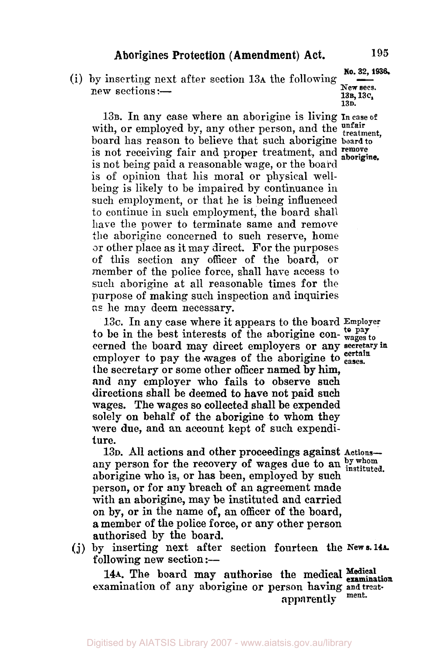(i) by inserting next after section  $13A$  the following New sections :-

**13B.** In any case where an aborigine is living **In case of**  with, or employed by, any other person, and the unfair board has reason to believe that such aborigine **board to**  is not receiving fair and proper treatment, and remove is not being paid a reasonable wage, or the board is of opinion that his moral or physical wellbeing is likely to be impaired by continuance in such employment, or that he is being influenced to continue in such employment, the board shalt have the power to terminate same and remove the aborigine concerned to such reserve, home or other place as it may direct. For the purposes of this section any officer of the board, or member of the police force, shall have access to such aborigine at all reasonable times for the purpose of making such inspection and inquiries **as he** may deem necessary.

**13c.** In any case where it appears to the board **Employer**  to be in the best interests of the aborigine con-  $\frac{10}{\text{wages to}}$ cerned the board may direct employers or any **secretary in**  the secretary or some other officer named by him, and **any** employer who fails to observe such directions shall be deemed to have not paid such wages. The wages so collected shall be expended solely **on** behalf of the aborigine **to** whom they were due, and **an** account kept **of** such expenditure. **certain**  employer to pay the wages of the aborigine to *eases.* 

**13D.** All actions and other proceedings against **Actions**any person for the recovery of wages due to an *by whom* instituted. aborigine who is, or has been, employed by such person, or for **any** breach of an agreement made with an aborigine, may be instituted and carried on by, or in the name of, an officer of the board, **a** member of the police force, or any other person authorised by the board.

following new section :-(j) by inserting next after section fourteen the **New s. 14A.** 

144. The board may authorise the medical Medical **14A. It is any authorise or person having and treat-**<br> **14A. It is an appropriate** or person in the ment. apparently

New secs.<br>**13B**, 13C, **13D.**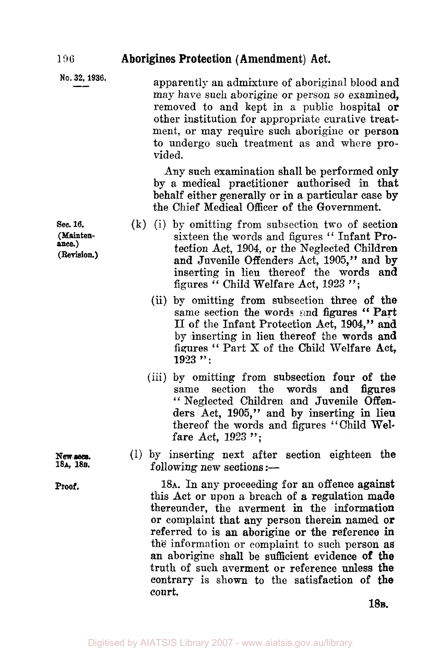## 196 **Aborigines Protection (Amendment) Act.**

| No. 32, 1936. | apparently an admixture of aboriginal blood and<br>may have such aborigine or person so examined.<br>removed to and kept in a public hospital or<br>other institution for appropriate curative treat-<br>ment, or may require such aborigine or person<br>to undergo such treatment as and where pro- |
|---------------|-------------------------------------------------------------------------------------------------------------------------------------------------------------------------------------------------------------------------------------------------------------------------------------------------------|
|               | vided.                                                                                                                                                                                                                                                                                                |
|               | Any such examination shall be nerformed only                                                                                                                                                                                                                                                          |

Any such examination shall be performed only **by** a medical practitioner authorised in that behalf either generally or in a particular case by the Chief Medical Officer of the Government.

- **(k)** (i) by omitting from subsection two of section sixteen the words and figures " Infant Protection Act, 1904, or the Neglected Children and Juvenile Offenders Act, 1905," and **by**  inserting in lieu thereof the words and figures " Child Welfare Act, 1923":
	- (ii) by omitting from subsection three of the same section the words and figures " **Part**  II of the Infant Protection Act, **1904,"** and by inserting in lieu thereof the words and figures " Part **X of** the **Child** Welfare Act, **<sup>1923</sup>**" :
	- (iii) by omitting from subsection four of the same section the words and figures " Neglected Children and Juvenile Offenders Act, **1905,"** and by inserting in lien thereof the words and figures "Child Welfare Act, **1923** ";
- (1) by inserting next after section eighteen the following new sections  $:=$

18A. In any proceeding for an offence against this Act or upon a breach of **a** regulation made thereunder, the averment in the information **or** complaint that **any** person therein named **or**  referred to is an aborigine or the reference **in**  the information or complaint to such person as **an** aborigine shall be sufficient evidence **of the**  truth of such averment or reference unless **the**  contrary is shown to the satisfaction of **the**  court.

**18B.** 

**Sec. 16. (Maintenance.) (Revision.)** 

New secs. **18A, 18B.** 

**Proof.**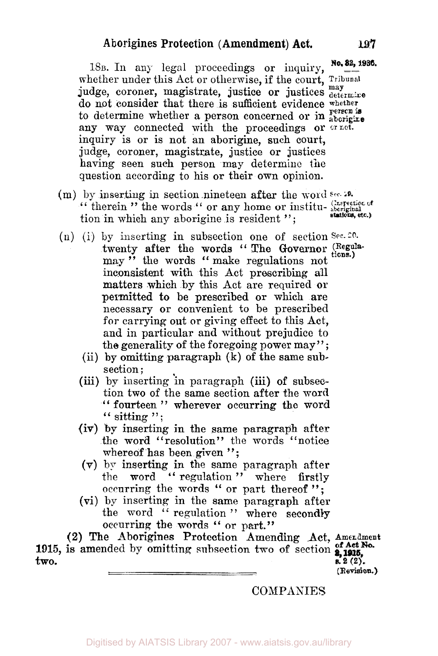18 $B$ . In any legal proceedings or inquiry, No. 82, 1936. whether under this Act or otherwise, if the court, Tribunal judge, coroner, magistrate, justice or justices  $\frac{may}{determine}$ do not consider that there is sufficient evidence whether to determine whether a person concerned or in **person is**  any way connected with the proceedings or  $\overline{or}$  net. inquiry is or is not an aborigine, such court, judge, coroner, magistrate, justice or justices having seen such person may determine the question according to his or their own opinion.

- **(m)** by inserting in section nineteen after the **word** *sec.*  by inserting in section nineteen after the word sec. 10.<br>" therein " the words " or any home or institu- aboriginal **aboriginal** tion in which any aborigine is resident "; **Inspection** *d*  **stations, etc.)**
- **(n)** (i) by inserting in subsection one of section *Sec.* 20. **tions.)**  twenty after the words "The Governor (Regulamay " the words " make regulations not inconsistent with this Act prescribing all matters which by this Act are required or permitted to be prescribed or which are necessary or convenient to be prescribed for carrying out or giving effect to this Act, and in particular and without prejudice to the generality of the foregoing power may'';
	- (ii) by omitting paragraph **(k)** of the same subsection ;
	- **(iii)** by inserting in paragraph (iii) **of** subsection two of the same section after the word " fourteen " wherever occurring the word" sitting  $\cdot$ ":
	- (iv) **by** inserting in the same paragraph after the word "resolution" the words "notice whereof has been given ":
	- **(V)** by inserting in the same paragraph after the word " regulation" where firstly occurring the words " or part thereof";
	- **(vi)** by inserting in the same paragraph after the word " regulation" where secondly occurring the words '' or part."

**(2)** The Aborigines Protection Amending Act, **Amendment**  1915, is amended by omitting subsection two of section **of Act No.**  $\mathbf{two.}$  **s.**  $2(2)$ .

**(Revision.)** 

**COMPANIES**